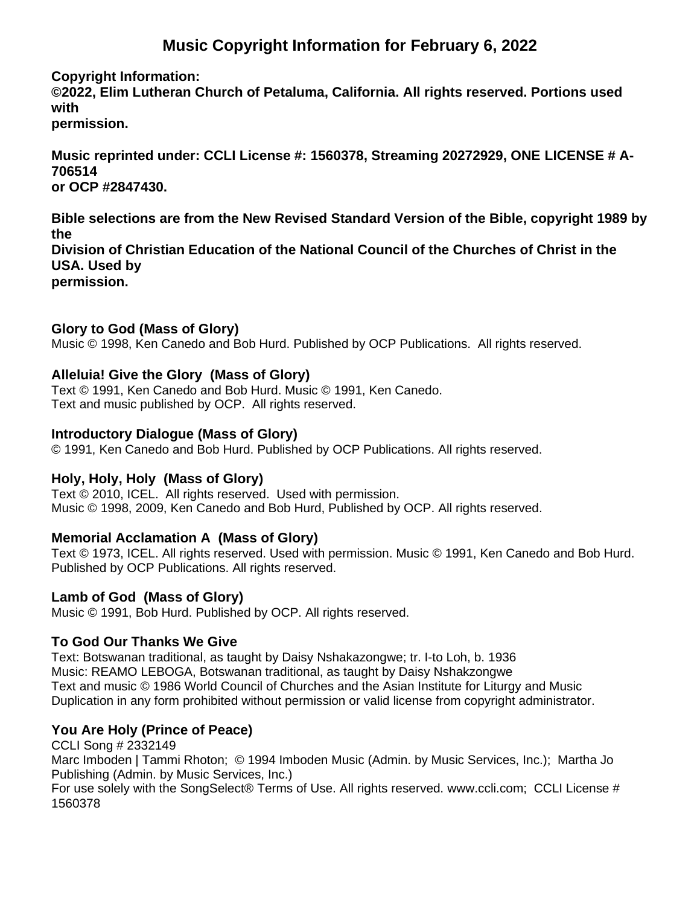# **Music Copyright Information for February 6, 2022**

#### **Copyright Information:**

**©2022, Elim Lutheran Church of Petaluma, California. All rights reserved. Portions used with permission.**

**Music reprinted under: CCLI License #: 1560378, Streaming 20272929, ONE LICENSE # A-706514 or OCP #2847430.**

**Bible selections are from the New Revised Standard Version of the Bible, copyright 1989 by the Division of Christian Education of the National Council of the Churches of Christ in the USA. Used by permission.**

#### **Glory to God (Mass of Glory)**

Music © 1998, Ken Canedo and Bob Hurd. Published by OCP Publications. All rights reserved.

#### **Alleluia! Give the Glory (Mass of Glory)**

Text © 1991, Ken Canedo and Bob Hurd. Music © 1991, Ken Canedo. Text and music published by OCP. All rights reserved.

#### **Introductory Dialogue (Mass of Glory)**

© 1991, Ken Canedo and Bob Hurd. Published by OCP Publications. All rights reserved.

#### **Holy, Holy, Holy (Mass of Glory)**

Text © 2010, ICEL. All rights reserved. Used with permission. Music © 1998, 2009, Ken Canedo and Bob Hurd, Published by OCP. All rights reserved.

#### **Memorial Acclamation A (Mass of Glory)**

Text © 1973, ICEL. All rights reserved. Used with permission. Music © 1991, Ken Canedo and Bob Hurd. Published by OCP Publications. All rights reserved.

#### **Lamb of God (Mass of Glory)**

Music © 1991, Bob Hurd. Published by OCP. All rights reserved.

#### **To God Our Thanks We Give**

Text: Botswanan traditional, as taught by Daisy Nshakazongwe; tr. I-to Loh, b. 1936 Music: REAMO LEBOGA, Botswanan traditional, as taught by Daisy Nshakzongwe Text and music © 1986 World Council of Churches and the Asian Institute for Liturgy and Music Duplication in any form prohibited without permission or valid license from copyright administrator.

# **You Are Holy (Prince of Peace)**

CCLI Song # 2332149

Marc Imboden | Tammi Rhoton; © 1994 Imboden Music (Admin. by Music Services, Inc.); Martha Jo Publishing (Admin. by Music Services, Inc.)

For use solely with the SongSelect® Terms of Use. All rights reserved. www.ccli.com; CCLI License # 1560378